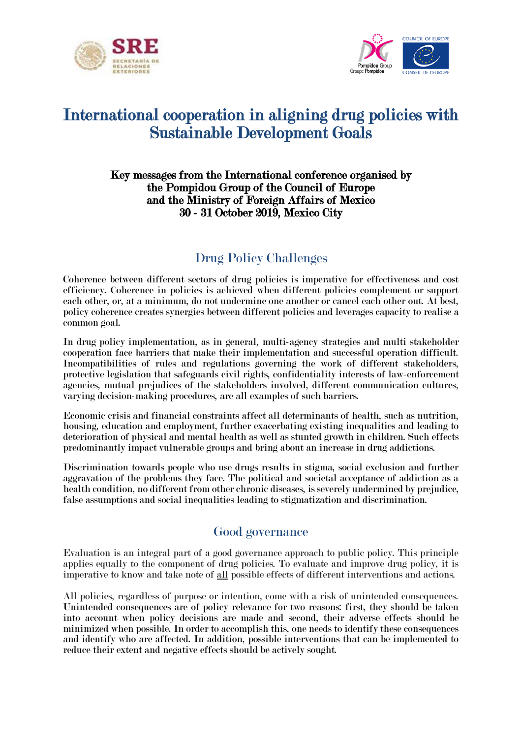



# International cooperation in aligning drug policies with Sustainable Development Goals

#### Key messages from the International conference organised by the Pompidou Group of the Council of Europe and the Ministry of Foreign Affairs of Mexico 30 - 31 October 2019, Mexico City

# Drug Policy Challenges

Coherence between different sectors of drug policies is imperative for effectiveness and cost efficiency. Coherence in policies is achieved when different policies complement or support each other, or, at a minimum, do not undermine one another or cancel each other out. At best, policy coherence creates synergies between different policies and leverages capacity to realise a common goal.

In drug policy implementation, as in general, multi-agency strategies and multi stakeholder cooperation face barriers that make their implementation and successful operation difficult. Incompatibilities of rules and regulations governing the work of different stakeholders, protective legislation that safeguards civil rights, confidentiality interests of law-enforcement agencies, mutual prejudices of the stakeholders involved, different communication cultures, varying decision-making procedures, are all examples of such barriers.

Economic crisis and financial constraints affect all determinants of health, such as nutrition, housing, education and employment, further exacerbating existing inequalities and leading to deterioration of physical and mental health as well as stunted growth in children. Such effects predominantly impact vulnerable groups and bring about an increase in drug addictions.

Discrimination towards people who use drugs results in stigma, social exclusion and further aggravation of the problems they face. The political and societal acceptance of addiction as a health condition, no different from other chronic diseases, is severely undermined by prejudice, false assumptions and social inequalities leading to stigmatization and discrimination.

### Good governance

Evaluation is an integral part of a good governance approach to public policy. This principle applies equally to the component of drug policies. To evaluate and improve drug policy, it is imperative to know and take note of all possible effects of different interventions and actions.

All policies, regardless of purpose or intention, come with a risk of unintended consequences. Unintended consequences are of policy relevance for two reasons: first, they should be taken into account when policy decisions are made and second, their adverse effects should be minimized when possible. In order to accomplish this, one needs to identify these consequences and identify who are affected. In addition, possible interventions that can be implemented to reduce their extent and negative effects should be actively sought.